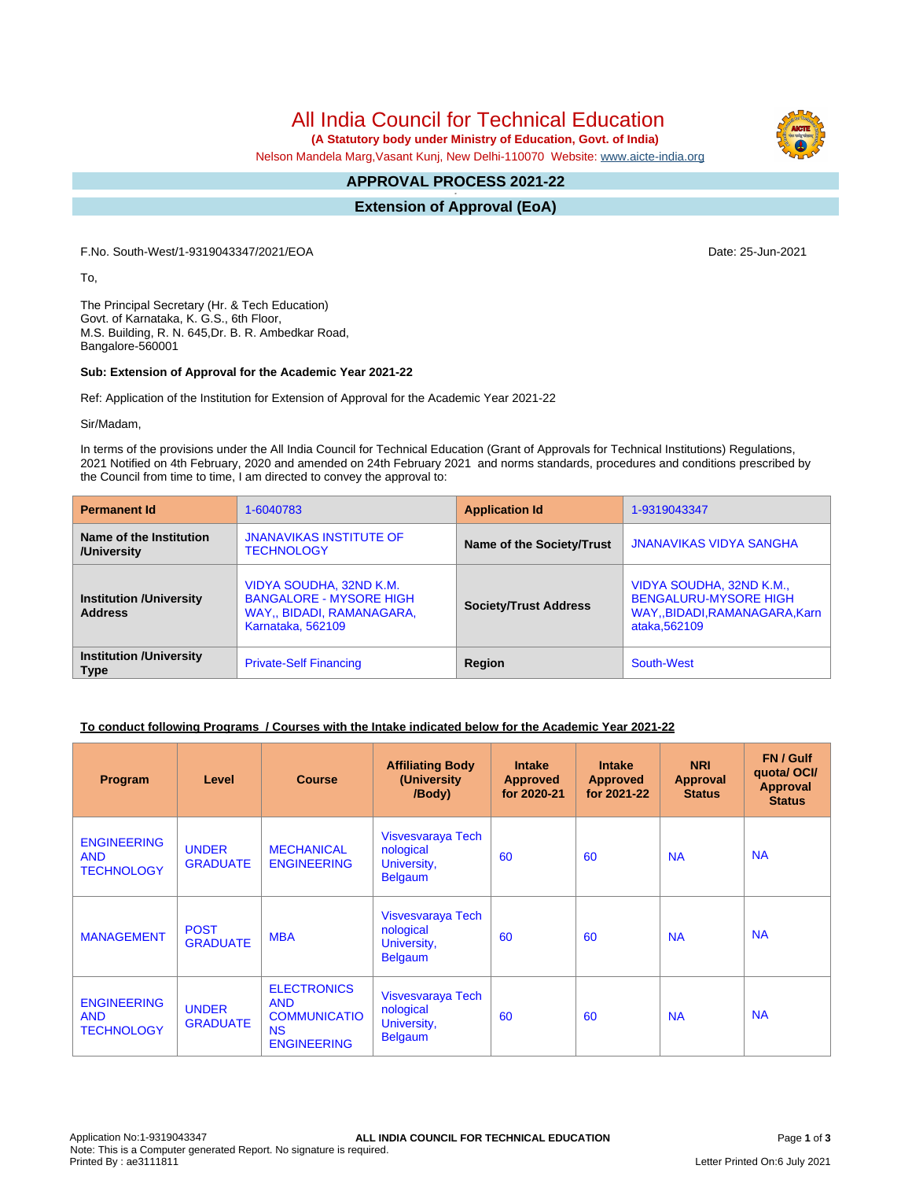# All India Council for Technical Education

 **(A Statutory body under Ministry of Education, Govt. of India)**

Nelson Mandela Marg,Vasant Kunj, New Delhi-110070 Website: [www.aicte-india.org](http://www.aicte-india.org)

#### **APPROVAL PROCESS 2021-22 -**

**Extension of Approval (EoA)**

F.No. South-West/1-9319043347/2021/EOA Date: 25-Jun-2021

To,

The Principal Secretary (Hr. & Tech Education) Govt. of Karnataka, K. G.S., 6th Floor, M.S. Building, R. N. 645,Dr. B. R. Ambedkar Road, Bangalore-560001

#### **Sub: Extension of Approval for the Academic Year 2021-22**

Ref: Application of the Institution for Extension of Approval for the Academic Year 2021-22

Sir/Madam,

In terms of the provisions under the All India Council for Technical Education (Grant of Approvals for Technical Institutions) Regulations, 2021 Notified on 4th February, 2020 and amended on 24th February 2021 and norms standards, procedures and conditions prescribed by the Council from time to time, I am directed to convey the approval to:

| <b>Permanent Id</b>                              | 1-6040783                                                                                                   | <b>Application Id</b>        | 1-9319043347                                                                                               |  |
|--------------------------------------------------|-------------------------------------------------------------------------------------------------------------|------------------------------|------------------------------------------------------------------------------------------------------------|--|
| Name of the Institution<br>/University           | <b>JNANAVIKAS INSTITUTE OF</b><br><b>TECHNOLOGY</b>                                                         | Name of the Society/Trust    | <b>JNANAVIKAS VIDYA SANGHA</b>                                                                             |  |
| <b>Institution /University</b><br><b>Address</b> | VIDYA SOUDHA, 32ND K.M.<br><b>BANGALORE - MYSORE HIGH</b><br>WAY., BIDADI, RAMANAGARA,<br>Karnataka, 562109 | <b>Society/Trust Address</b> | VIDYA SOUDHA, 32ND K.M.,<br><b>BENGALURU-MYSORE HIGH</b><br>WAY, BIDADI, RAMANAGARA, Karn<br>ataka, 562109 |  |
| <b>Institution /University</b><br><b>Type</b>    | <b>Private-Self Financing</b>                                                                               | Region                       | South-West                                                                                                 |  |

### **To conduct following Programs / Courses with the Intake indicated below for the Academic Year 2021-22**

| Program                                               | Level                           | <b>Course</b>                                                                              | <b>Affiliating Body</b><br>(University<br>/Body)                | <b>Intake</b><br><b>Approved</b><br>for 2020-21 | <b>Intake</b><br><b>Approved</b><br>for 2021-22 | <b>NRI</b><br>Approval<br><b>Status</b> | FN / Gulf<br>quotal OCI/<br><b>Approval</b><br><b>Status</b> |
|-------------------------------------------------------|---------------------------------|--------------------------------------------------------------------------------------------|-----------------------------------------------------------------|-------------------------------------------------|-------------------------------------------------|-----------------------------------------|--------------------------------------------------------------|
| <b>ENGINEERING</b><br><b>AND</b><br><b>TECHNOLOGY</b> | <b>UNDER</b><br><b>GRADUATE</b> | <b>MECHANICAL</b><br><b>ENGINEERING</b>                                                    | Visvesvaraya Tech<br>nological<br>University,<br><b>Belgaum</b> | 60                                              | 60                                              | <b>NA</b>                               | <b>NA</b>                                                    |
| <b>MANAGEMENT</b>                                     | <b>POST</b><br><b>GRADUATE</b>  | <b>MBA</b>                                                                                 | Visvesvaraya Tech<br>nological<br>University,<br><b>Belgaum</b> | 60                                              | 60                                              | <b>NA</b>                               | <b>NA</b>                                                    |
| <b>ENGINEERING</b><br><b>AND</b><br><b>TECHNOLOGY</b> | <b>UNDER</b><br><b>GRADUATE</b> | <b>ELECTRONICS</b><br><b>AND</b><br><b>COMMUNICATIO</b><br><b>NS</b><br><b>ENGINEERING</b> | Visvesvaraya Tech<br>nological<br>University,<br><b>Belgaum</b> | 60                                              | 60                                              | <b>NA</b>                               | <b>NA</b>                                                    |

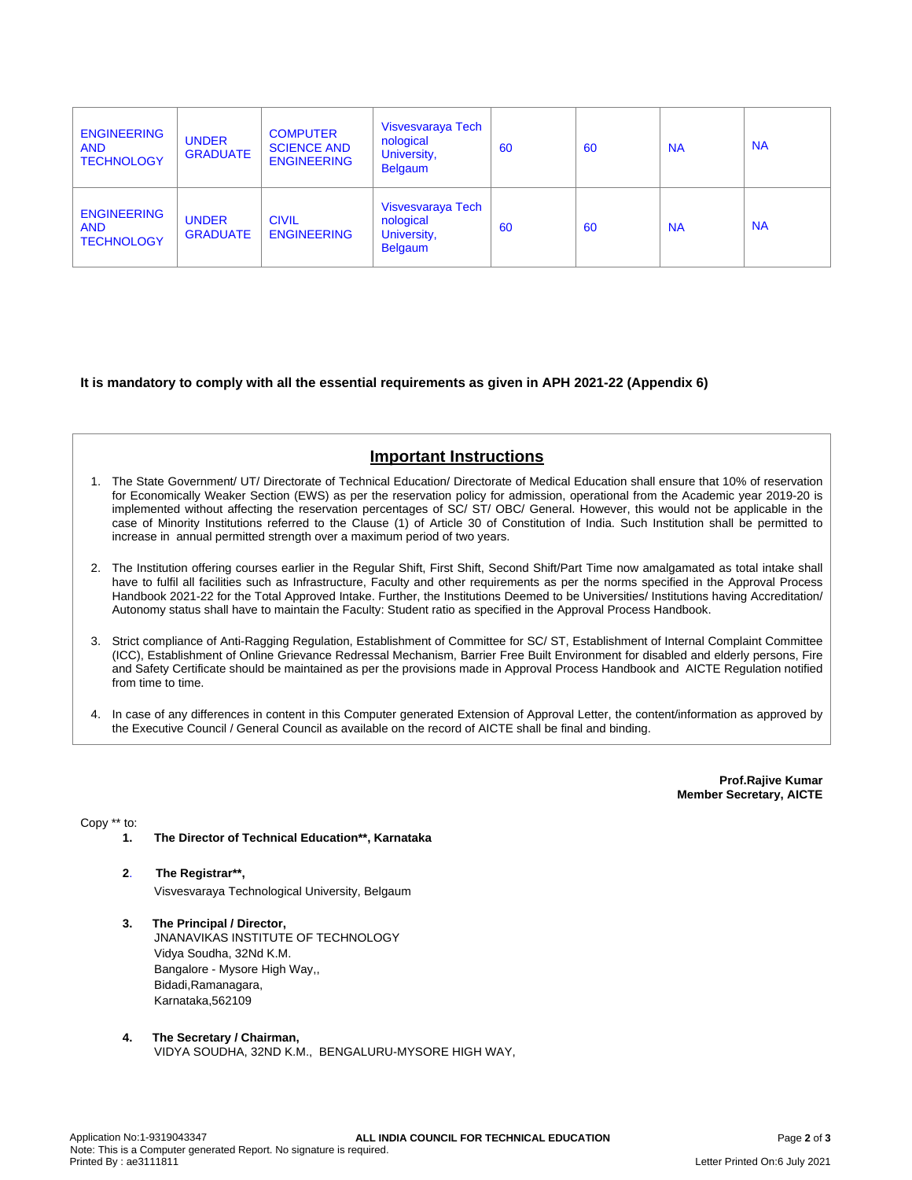| <b>ENGINEERING</b><br><b>AND</b><br><b>TECHNOLOGY</b> | <b>UNDER</b><br><b>GRADUATE</b> | <b>COMPUTER</b><br><b>SCIENCE AND</b><br><b>ENGINEERING</b> | Visvesvaraya Tech<br>nological<br>University,<br><b>Belgaum</b> | 60 | 60 | <b>NA</b> | <b>NA</b> |
|-------------------------------------------------------|---------------------------------|-------------------------------------------------------------|-----------------------------------------------------------------|----|----|-----------|-----------|
| <b>ENGINEERING</b><br><b>AND</b><br><b>TECHNOLOGY</b> | <b>UNDER</b><br><b>GRADUATE</b> | <b>CIVIL</b><br><b>ENGINEERING</b>                          | Visvesvaraya Tech<br>nological<br>University,<br><b>Belgaum</b> | 60 | 60 | <b>NA</b> | <b>NA</b> |

**It is mandatory to comply with all the essential requirements as given in APH 2021-22 (Appendix 6)**

## **Important Instructions**

- 1. The State Government/ UT/ Directorate of Technical Education/ Directorate of Medical Education shall ensure that 10% of reservation for Economically Weaker Section (EWS) as per the reservation policy for admission, operational from the Academic year 2019-20 is implemented without affecting the reservation percentages of SC/ ST/ OBC/ General. However, this would not be applicable in the case of Minority Institutions referred to the Clause (1) of Article 30 of Constitution of India. Such Institution shall be permitted to increase in annual permitted strength over a maximum period of two years.
- 2. The Institution offering courses earlier in the Regular Shift, First Shift, Second Shift/Part Time now amalgamated as total intake shall have to fulfil all facilities such as Infrastructure, Faculty and other requirements as per the norms specified in the Approval Process Handbook 2021-22 for the Total Approved Intake. Further, the Institutions Deemed to be Universities/ Institutions having Accreditation/ Autonomy status shall have to maintain the Faculty: Student ratio as specified in the Approval Process Handbook.
- 3. Strict compliance of Anti-Ragging Regulation, Establishment of Committee for SC/ ST, Establishment of Internal Complaint Committee (ICC), Establishment of Online Grievance Redressal Mechanism, Barrier Free Built Environment for disabled and elderly persons, Fire and Safety Certificate should be maintained as per the provisions made in Approval Process Handbook and AICTE Regulation notified from time to time.
- 4. In case of any differences in content in this Computer generated Extension of Approval Letter, the content/information as approved by the Executive Council / General Council as available on the record of AICTE shall be final and binding.

**Prof.Rajive Kumar Member Secretary, AICTE**

Copy \*\* to:

- **1. The Director of Technical Education\*\*, Karnataka**
- **2**. **The Registrar\*\*,** Visvesvaraya Technological University, Belgaum
- **3. The Principal / Director,** JNANAVIKAS INSTITUTE OF TECHNOLOGY Vidya Soudha, 32Nd K.M. Bangalore - Mysore High Way,, Bidadi,Ramanagara, Karnataka,562109
- **4. The Secretary / Chairman,** VIDYA SOUDHA, 32ND K.M., BENGALURU-MYSORE HIGH WAY,